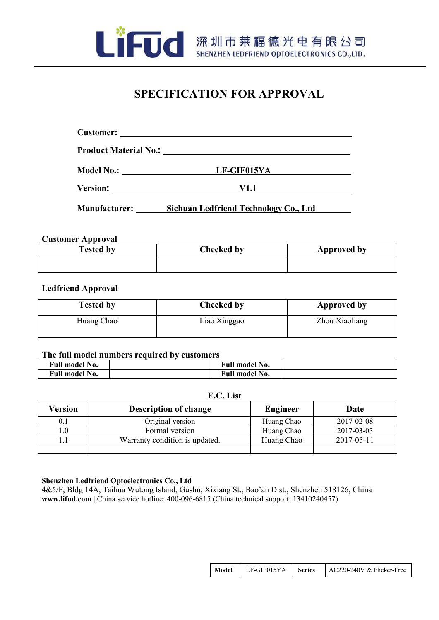

FUC 深圳市莱福德光电有限公司

# **SPECIFICATION FOR APPROVAL**

| <b>Product Material No.:</b> | <u> 1989 - Jan Samuel Barbara, margaret eta idazlearia (h. 1982).</u>                                                               |  |  |  |
|------------------------------|-------------------------------------------------------------------------------------------------------------------------------------|--|--|--|
| <b>Model No.:</b>            | LF-GIF015YA<br><u> 1990 - Andrea Albert III, politik a postal de la provincia de la provincia de la provincia de la provincia d</u> |  |  |  |
| <b>Version:</b>              | V1.1                                                                                                                                |  |  |  |
| <b>Manufacturer:</b>         | Sichuan Ledfriend Technology Co., Ltd                                                                                               |  |  |  |

# **Customer Approval**

| <b>Tested by</b> | <b>Checked by</b> | Approved by |
|------------------|-------------------|-------------|
|                  |                   |             |
|                  |                   |             |

# **Ledfriend Approval**

| <b>Tested by</b> | <b>Checked by</b> | <b>Approved by</b> |
|------------------|-------------------|--------------------|
| Huang Chao       | Liao Xinggao      | Zhou Xiaoliang     |

# **The full model numbers required by customers**

| Full model No.             |  | <b>Full model No.</b> |  |
|----------------------------|--|-----------------------|--|
| ' No.<br><b>Full model</b> |  | <b>Full model No.</b> |  |

# **E.C. List**

| Version | <b>Description of change</b>   | <b>Engineer</b> | Date       |
|---------|--------------------------------|-----------------|------------|
| 0.1     | Original version               | Huang Chao      | 2017-02-08 |
|         | Formal version                 | Huang Chao      | 2017-03-03 |
|         | Warranty condition is updated. | Huang Chao      | 2017-05-11 |
|         |                                |                 |            |

# **Shenzhen Ledfriend Optoelectronics Co., Ltd**

4&5/F, Bldg 14A, Taihua Wutong Island, Gushu, Xixiang St., Bao'an Dist., Shenzhen 518126, China **[www.lifud.com](http://www.lifud.com/)** | China service hotline: 400-096-6815 (China technical support: 13410240457)

| LF-GIF015YA<br>AC220-240V & Flicker-Free<br>  Series<br>Model |
|---------------------------------------------------------------|
|---------------------------------------------------------------|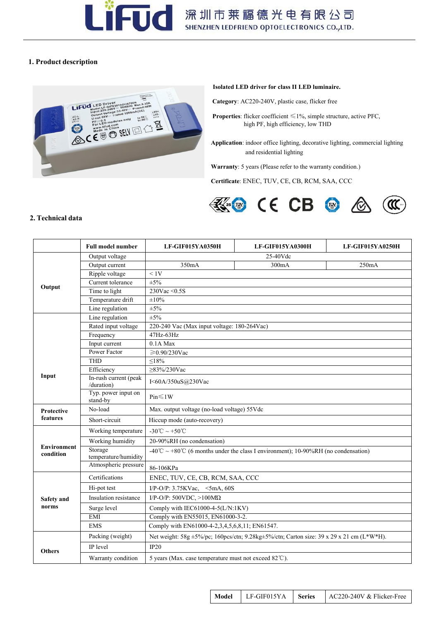

# **1. Product description**



### **Isolated LED driver for class II LED luminaire.**

**Category**: AC220-240V, plastic case, flicker free

**Properties**: flicker coefficient ≤1%, simple structure, active PFC, high PF, high efficiency, low THD

**Application**: indoor office lighting, decorative lighting, commercial lighting and residential lighting

Warranty: 5 years (Please refer to the warranty condition.)

**Certificate**: ENEC, TUV, CE, CB, RCM, SAA, CCC



### **2. Technical data**

|                                 | <b>Full model number</b>                      | LF-GIF015YA0350H                                                                   | LF-GIF015YA0300H                                                                         | LF-GIF015YA0250H |  |  |
|---------------------------------|-----------------------------------------------|------------------------------------------------------------------------------------|------------------------------------------------------------------------------------------|------------------|--|--|
|                                 | Output voltage                                | 25-40Vdc                                                                           |                                                                                          |                  |  |  |
|                                 | Output current                                | 350mA                                                                              | 300mA                                                                                    | 250mA            |  |  |
|                                 | Ripple voltage                                | < 1V                                                                               |                                                                                          |                  |  |  |
| Output                          | Current tolerance                             | $\pm 5\%$                                                                          |                                                                                          |                  |  |  |
|                                 | Time to light                                 | 230Vac $\leq$ 0.5S<br>$\pm 10\%$                                                   |                                                                                          |                  |  |  |
|                                 | Temperature drift                             |                                                                                    |                                                                                          |                  |  |  |
|                                 | Line regulation                               | $\pm 5\%$                                                                          |                                                                                          |                  |  |  |
|                                 | Line regulation                               | $\pm 5\%$                                                                          |                                                                                          |                  |  |  |
|                                 | Rated input voltage                           | 220-240 Vac (Max input voltage: 180-264Vac)                                        |                                                                                          |                  |  |  |
|                                 | Frequency                                     | 47Hz-63Hz                                                                          |                                                                                          |                  |  |  |
|                                 | Input current                                 | $0.1A$ Max                                                                         |                                                                                          |                  |  |  |
|                                 | Power Factor                                  | $≥$ 0.90/230Vac                                                                    |                                                                                          |                  |  |  |
|                                 | <b>THD</b>                                    | ${\leq}18\%$                                                                       |                                                                                          |                  |  |  |
| Input                           | Efficiency<br>In-rush current (peak           | $\geq$ 83%/230Vac<br>I<60A/350uS@230Vac                                            |                                                                                          |                  |  |  |
|                                 | /duration)<br>Typ. power input on<br>stand-by | Pin<1W                                                                             |                                                                                          |                  |  |  |
| Protective                      | No-load                                       | Max. output voltage (no-load voltage) 55Vdc                                        |                                                                                          |                  |  |  |
| features                        | Short-circuit                                 | Hiccup mode (auto-recovery)                                                        |                                                                                          |                  |  |  |
|                                 | Working temperature                           | -30°C ~ +50°C                                                                      |                                                                                          |                  |  |  |
|                                 | Working humidity                              | 20-90%RH (no condensation)                                                         |                                                                                          |                  |  |  |
| <b>Environment</b><br>condition | Storage<br>temperature/humidity               | -40°C ~ +80°C (6 months under the class I environment); 10-90%RH (no condensation) |                                                                                          |                  |  |  |
|                                 | Atmospheric pressure                          | 86-106KPa                                                                          |                                                                                          |                  |  |  |
|                                 | Certifications                                | ENEC, TUV, CE, CB, RCM, SAA, CCC                                                   |                                                                                          |                  |  |  |
|                                 | Hi-pot test                                   | $I/P-O/P$ : 3.75KVac, <5mA, 60S                                                    |                                                                                          |                  |  |  |
| <b>Safety</b> and               | Insulation resistance                         | I/P-O/P: $500VDC$ , $>100M\Omega$                                                  |                                                                                          |                  |  |  |
| norms                           | Surge level                                   | Comply with IEC61000-4-5(L/N:1KV)                                                  |                                                                                          |                  |  |  |
|                                 | <b>EMI</b>                                    | Comply with EN55015, EN61000-3-2.                                                  |                                                                                          |                  |  |  |
|                                 | <b>EMS</b>                                    | Comply with EN61000-4-2,3,4,5,6,8,11; EN61547.                                     |                                                                                          |                  |  |  |
|                                 | Packing (weight)                              |                                                                                    | Net weight: 58g ±5%/pc; 160pcs/ctn; 9.28kg±5%/ctn; Carton size: 39 x 29 x 21 cm (L*W*H). |                  |  |  |
| <b>Others</b>                   | IP level                                      | IP20                                                                               |                                                                                          |                  |  |  |
|                                 | Warranty condition                            | 5 years (Max. case temperature must not exceed 82°C).                              |                                                                                          |                  |  |  |
|                                 |                                               |                                                                                    |                                                                                          |                  |  |  |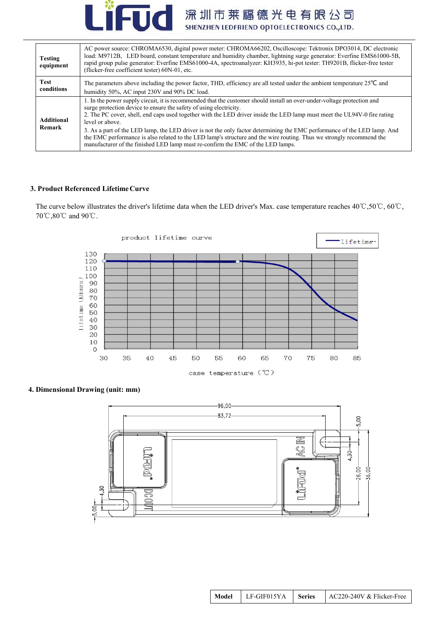

| <b>Testing</b><br>equipment | AC power source: CHROMA6530, digital power meter: CHROMA66202, Oscilloscope: Tektronix DPO3014, DC electronic<br>load: M9712B, LED board, constant temperature and humidity chamber, lightning surge generator: Everfine EMS61000-5B,<br>rapid group pulse generator: Everfine EMS61000-4A, spectroanalyzer: KH3935, hi-pot tester: TH9201B, flicker-free tester<br>(flicker-free coefficient tester) 60N-01, etc.                                                                                                                                                                                                                                                                  |
|-----------------------------|-------------------------------------------------------------------------------------------------------------------------------------------------------------------------------------------------------------------------------------------------------------------------------------------------------------------------------------------------------------------------------------------------------------------------------------------------------------------------------------------------------------------------------------------------------------------------------------------------------------------------------------------------------------------------------------|
| Test<br>conditions          | The parameters above including the power factor, THD, efficiency are all tested under the ambient temperature $25^{\circ}$ C and<br>humidity 50%, AC input 230V and 90% DC load.                                                                                                                                                                                                                                                                                                                                                                                                                                                                                                    |
| <b>Additional</b><br>Remark | 1. In the power supply circuit, it is recommended that the customer should install an over-under-voltage protection and<br>surge protection device to ensure the safety of using electricity.<br>2. The PC cover, shell, end caps used together with the LED driver inside the LED lamp must meet the UL94V-0 fire rating<br>level or above.<br>3. As a part of the LED lamp, the LED driver is not the only factor determining the EMC performance of the LED lamp. And<br>the EMC performance is also related to the LED lamp's structure and the wire routing. Thus we strongly recommend the<br>manufacturer of the finished LED lamp must re-confirm the EMC of the LED lamps. |

# **3. Product Referenced LifetimeCurve**

The curve below illustrates the driver's lifetime data when the LED driver's Max. case temperature reaches 40℃,50℃, 60℃, 70℃,80℃ and 90℃.





# **4. Dimensional Drawing (unit: mm)**

| Model | $LF-GIF015YA$   Series |  | $\vert$ AC220-240V & Flicker-Free |  |
|-------|------------------------|--|-----------------------------------|--|
|-------|------------------------|--|-----------------------------------|--|